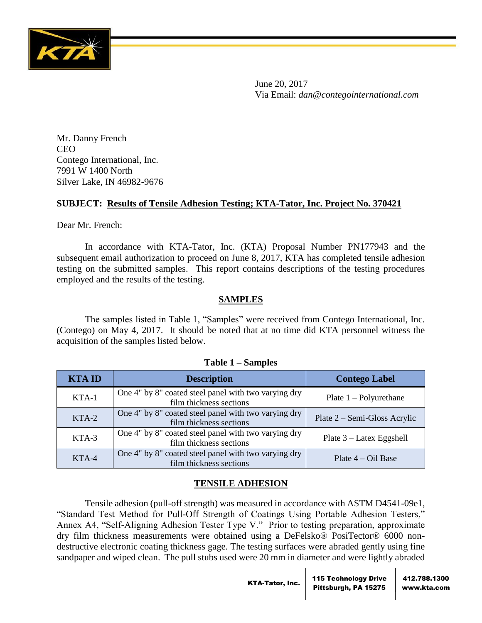

June 20, 2017 Via Email: *dan@contegointernational.com*

Mr. Danny French CEO Contego International, Inc. 7991 W 1400 North Silver Lake, IN 46982-9676

## **SUBJECT: Results of Tensile Adhesion Testing; KTA-Tator, Inc. Project No. 370421**

Dear Mr. French:

In accordance with KTA-Tator, Inc. (KTA) Proposal Number PN177943 and the subsequent email authorization to proceed on June 8, 2017, KTA has completed tensile adhesion testing on the submitted samples. This report contains descriptions of the testing procedures employed and the results of the testing.

## **SAMPLES**

The samples listed in Table 1, "Samples" were received from Contego International, Inc. (Contego) on May 4, 2017. It should be noted that at no time did KTA personnel witness the acquisition of the samples listed below.

| <b>KTAID</b> | <b>Description</b>                                                              | <b>Contego Label</b>         |
|--------------|---------------------------------------------------------------------------------|------------------------------|
| KTA-1        | One 4" by 8" coated steel panel with two varying dry<br>film thickness sections | Plate $1 -$ Polyurethane     |
| KTA-2        | One 4" by 8" coated steel panel with two varying dry<br>film thickness sections | Plate 2 – Semi-Gloss Acrylic |
| KTA-3        | One 4" by 8" coated steel panel with two varying dry<br>film thickness sections | Plate $3$ – Latex Eggshell   |
| KTA-4        | One 4" by 8" coated steel panel with two varying dry<br>film thickness sections | Plate $4 - Oil$ Base         |

### **Table 1 – Samples**

# **TENSILE ADHESION**

Tensile adhesion (pull-off strength) was measured in accordance with ASTM D4541-09e1, "Standard Test Method for Pull-Off Strength of Coatings Using Portable Adhesion Testers," Annex A4, "Self-Aligning Adhesion Tester Type V." Prior to testing preparation, approximate dry film thickness measurements were obtained using a DeFelsko® PosiTector® 6000 nondestructive electronic coating thickness gage. The testing surfaces were abraded gently using fine sandpaper and wiped clean. The pull stubs used were 20 mm in diameter and were lightly abraded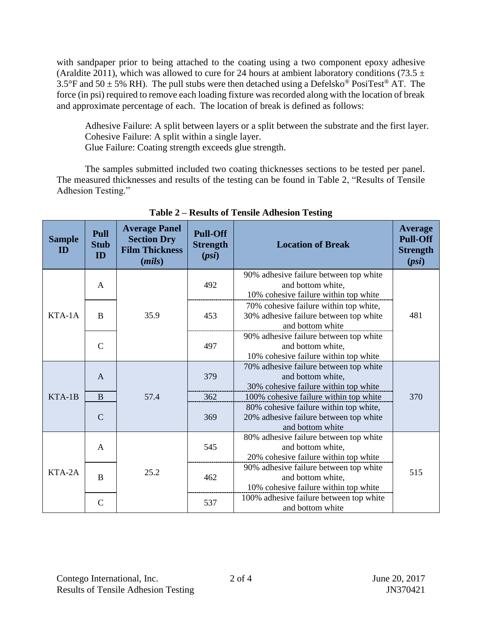with sandpaper prior to being attached to the coating using a two component epoxy adhesive (Araldite 2011), which was allowed to cure for 24 hours at ambient laboratory conditions (73.5  $\pm$ 3.5°F and 50  $\pm$  5% RH). The pull stubs were then detached using a Defelsko<sup>®</sup> PosiTest<sup>®</sup> AT. The force (in psi) required to remove each loading fixture was recorded along with the location of break and approximate percentage of each. The location of break is defined as follows:

Adhesive Failure: A split between layers or a split between the substrate and the first layer. Cohesive Failure: A split within a single layer. Glue Failure: Coating strength exceeds glue strength.

The samples submitted included two coating thicknesses sections to be tested per panel. The measured thicknesses and results of the testing can be found in Table 2, "Results of Tensile Adhesion Testing."

| <b>Sample</b><br>ID | Pull<br><b>Stub</b><br>ID | <b>Average Panel</b><br><b>Section Dry</b><br><b>Film Thickness</b><br>(mils) | <b>Pull-Off</b><br><b>Strength</b><br>(psi)                                                          | <b>Location of Break</b>                                                                             | <b>Average</b><br><b>Pull-Off</b><br><b>Strength</b><br>(psi) |
|---------------------|---------------------------|-------------------------------------------------------------------------------|------------------------------------------------------------------------------------------------------|------------------------------------------------------------------------------------------------------|---------------------------------------------------------------|
| KTA-1A              | $\mathbf{A}$              | 35.9                                                                          | 492                                                                                                  | 90% adhesive failure between top white<br>and bottom white,<br>10% cohesive failure within top white |                                                               |
|                     | B                         |                                                                               | 453                                                                                                  | 70% cohesive failure within top white,<br>30% adhesive failure between top white<br>and bottom white | 481                                                           |
|                     | $\mathcal{C}$             |                                                                               | 497                                                                                                  | 90% adhesive failure between top white<br>and bottom white,<br>10% cohesive failure within top white |                                                               |
| $KTA-1B$            | $\mathsf{A}$              | 57.4                                                                          | 379                                                                                                  | 70% adhesive failure between top white<br>and bottom white,<br>30% cohesive failure within top white | 370                                                           |
|                     | B                         |                                                                               | 362                                                                                                  | 100% cohesive failure within top white                                                               |                                                               |
|                     | $\mathcal{C}$             |                                                                               | 369                                                                                                  | 80% cohesive failure within top white,<br>20% adhesive failure between top white<br>and bottom white |                                                               |
| KTA-2A              | $\mathsf{A}$              |                                                                               | 545                                                                                                  | 80% adhesive failure between top white<br>and bottom white,<br>20% cohesive failure within top white |                                                               |
|                     | 25.2<br>$\bf{B}$          | 462                                                                           | 90% adhesive failure between top white<br>and bottom white,<br>10% cohesive failure within top white | 515                                                                                                  |                                                               |
|                     | $\mathcal{C}$             |                                                                               | 537                                                                                                  | 100% adhesive failure between top white<br>and bottom white                                          |                                                               |

**Table 2 – Results of Tensile Adhesion Testing**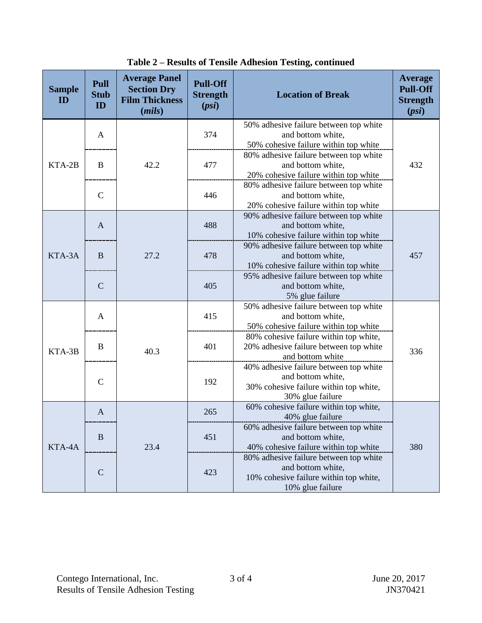| <b>Sample</b><br>ID | Pull<br><b>Stub</b><br>ID | <b>Average Panel</b><br><b>Section Dry</b><br><b>Film Thickness</b><br>(mils) | <b>Pull-Off</b><br><b>Strength</b><br>(psi)                                                                               | <b>Location of Break</b>                                                                                                  | Average<br><b>Pull-Off</b><br><b>Strength</b><br>(psi) |
|---------------------|---------------------------|-------------------------------------------------------------------------------|---------------------------------------------------------------------------------------------------------------------------|---------------------------------------------------------------------------------------------------------------------------|--------------------------------------------------------|
| KTA-2B              | A                         | 42.2                                                                          | 374                                                                                                                       | 50% adhesive failure between top white<br>and bottom white,<br>50% cohesive failure within top white                      |                                                        |
|                     | B                         |                                                                               | 477                                                                                                                       | 80% adhesive failure between top white<br>and bottom white,<br>20% cohesive failure within top white                      | 432                                                    |
|                     | $\mathcal{C}$             |                                                                               | 446                                                                                                                       | 80% adhesive failure between top white<br>and bottom white,<br>20% cohesive failure within top white                      |                                                        |
| KTA-3A              | $\mathbf{A}$              | 27.2                                                                          | 488                                                                                                                       | 90% adhesive failure between top white<br>and bottom white,<br>10% cohesive failure within top white                      |                                                        |
|                     | B                         |                                                                               | 478                                                                                                                       | 90% adhesive failure between top white<br>and bottom white,<br>10% cohesive failure within top white                      | 457                                                    |
|                     | $\mathcal{C}$             |                                                                               | 405                                                                                                                       | 95% adhesive failure between top white<br>and bottom white,<br>5% glue failure                                            |                                                        |
| KTA-3B              | A                         | 40.3                                                                          | 415                                                                                                                       | 50% adhesive failure between top white<br>and bottom white,<br>50% cohesive failure within top white                      |                                                        |
|                     | B                         |                                                                               | 401                                                                                                                       | 80% cohesive failure within top white,<br>20% adhesive failure between top white<br>and bottom white                      | 336                                                    |
|                     | $\mathcal{C}$             |                                                                               | 192                                                                                                                       | 40% adhesive failure between top white<br>and bottom white,<br>30% cohesive failure within top white,<br>30% glue failure |                                                        |
| KTA-4A              | A                         | 23.4                                                                          | 265                                                                                                                       | 60% cohesive failure within top white,<br>40% glue failure                                                                |                                                        |
|                     | B                         |                                                                               | 451                                                                                                                       | 60% adhesive failure between top white<br>and bottom white,<br>40% cohesive failure within top white                      | 380                                                    |
|                     | $\mathbf C$               | 423                                                                           | 80% adhesive failure between top white<br>and bottom white,<br>10% cohesive failure within top white,<br>10% glue failure |                                                                                                                           |                                                        |

**Table 2 – Results of Tensile Adhesion Testing, continued**